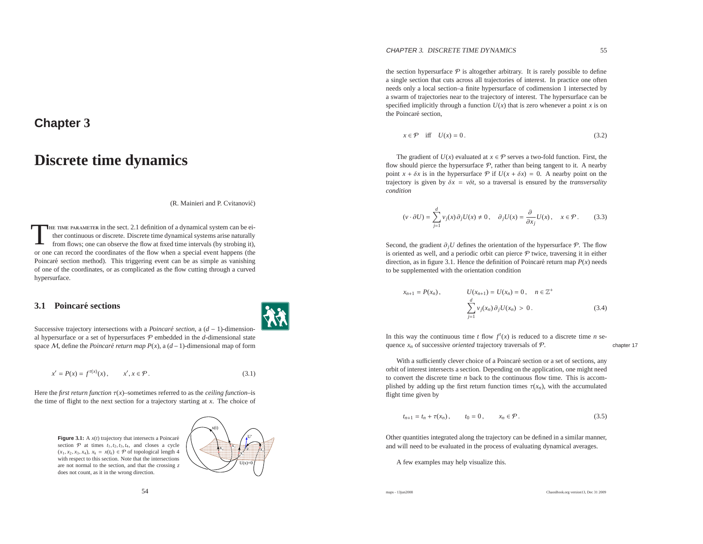# **Chapter <sup>3</sup>**

# **Discrete time dynamics**

(R. Mainieri and P. Cvitanović)

THE TIME PARAMETER in the sect. 2.1 definition of a dynamical system can be ei-<br>ther continuous or discrete. Discrete time dynamical systems arise naturally<br>from flows; one can observe the flow at fixed time intervals (by or one can record the coordinates of the flow when <sup>a</sup> special event happens (thePoincaré section method). This triggering event can be as simple as vanishing of one of the coordinates, or as complicated as the flow cutting through <sup>a</sup> curvedhypersurface.

### **3.1 Poincare sections ´**



Successive trajectory intersections with a *Poincaré section*, a (*d* − 1)-dimensional hypersurface or a set of hypersurfaces  $P$  embedded in the *d*-dimensional state space <sup>M</sup>, define the *Poincar´e return map <sup>P</sup>*(*x*), <sup>a</sup> (*d*−1)-dimensional map of form

$$
x' = P(x) = f^{\tau(x)}(x), \qquad x', x \in \mathcal{P}.
$$
 (3.1)

Here the *first return function*  $\tau(x)$ –sometimes referred to as the *ceiling function*–is the time of flight to the next section for <sup>a</sup> trajectory starting at *<sup>x</sup>*. The choice of

54

**Figure** 3.1: A  $x(t)$  trajectory that intersects a Poincaré section  $P$  at times  $t_1, t_2, t_3, t_4$ , and closes a cycle  $(x_1, x_2, x_3, x_4), x_k = x(t_k) \in \mathcal{P}$  of topological length 4 with respec<sup>t</sup> to this section. Note that the intersections are not normal to the section, and that the crossing *<sup>z</sup>* does not count, as it in the wrong direction.



the section hypersurface  $P$  is altogether arbitrary. It is rarely possible to define <sup>a</sup> single section that cuts across all trajectories of interest. In practice one often needs only <sup>a</sup> local section–a finite hypersurface of codimension 1 intersected by <sup>a</sup> swarm of trajectories near to the trajectory of interest. The hypersurface can bespecified implicitly through a function  $U(x)$  that is zero whenever a point *x* is on the Poincaré section.

$$
x \in \mathcal{P} \quad \text{iff} \quad U(x) = 0. \tag{3.2}
$$

The gradient of  $U(x)$  evaluated at  $x \in \mathcal{P}$  serves a two-fold function. First, the flow should pierce the hypersurface  $P$ , rather than being tangent to it. A nearby point  $x + \delta x$  is in the hypersurface  $P$  if  $U(x + \delta x) = 0$ . A nearby point on the trajectory is given by <sup>δ</sup>*<sup>x</sup>* <sup>=</sup> *<sup>v</sup>*δ*t*, so <sup>a</sup> traversal is ensured by the *transversality condition*

$$
(\nu \cdot \partial U) = \sum_{j=1}^{d} v_j(x) \partial_j U(x) \neq 0, \quad \partial_j U(x) = \frac{\partial}{\partial x_j} U(x), \quad x \in \mathcal{P}.
$$
 (3.3)

Second, the gradient  $\partial_j U$  defines the orientation of the hypersurface  $\mathcal{P}$ . The flow is oriented as well, and a periodic orbit can pierce  $P$  twice, traversing it in either direction, as in figure 3.1. Hence the definition of Poincaré return map  $P(x)$  needs to be supplemented with the orientation condition

$$
x_{n+1} = P(x_n), \qquad U(x_{n+1}) = U(x_n) = 0, \quad n \in \mathbb{Z}^+
$$

$$
\sum_{i=1}^d v_j(x_n) \partial_j U(x_n) > 0.
$$
 (3.4)

In this way the continuous time *t* flow  $f'(x)$  is reduced to a discrete time *n* sequence  $x_n$  of successive *oriented* trajectory traversals of  $P$ . chapter 17

With a sufficiently clever choice of a Poincaré section or a set of sections, any orbit of interest intersects <sup>a</sup> section. Depending on the application, one might need to convert the discrete time *<sup>n</sup>* back to the continuous flow time. This is accomplished by adding up the first return function times  $\tau(x_n)$ , with the accumulated flight time given by

$$
t_{n+1} = t_n + \tau(x_n), \t t_0 = 0, \t x_n \in \mathcal{P}.
$$
\t(3.5)

Other quantities integrated along the trajectory can be defined in <sup>a</sup> similar manner, and will need to be evaluated in the process of evaluating dynamical averages.

A few examples may help visualize this.

maps - 13jun2008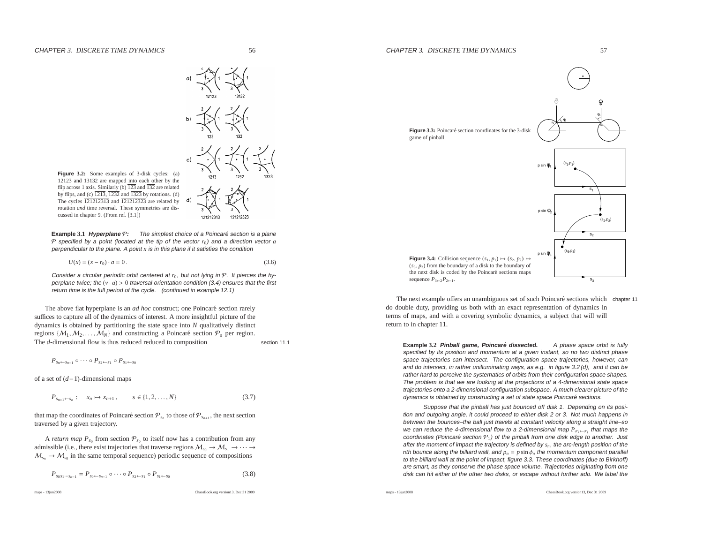

**Figure 3.2:** Some examples of 3-disk cycles: (a) 12123 and 13132 are mapped into each other by the flip across 1 axis. Similarly (b) <sup>123</sup> and <sup>132</sup> are related by flips, and (c) 1213, <sup>1232</sup> and <sup>1323</sup> by rotations. (d) The cycles <sup>121212313</sup> and <sup>121212323</sup> are related by rotation *and* time reversal. These symmetries are discussed in chapter 9. (From ref. [3.1])

**Example 3.1 Hyperplane**  $P$ : The simplest choice of a Poincaré section is a plane P specified by <sup>a</sup> point (located at the tip of the vector *<sup>r</sup>*0) and <sup>a</sup> direction vector *<sup>a</sup>* perpendicular to the plane. A point *<sup>x</sup>* is in this plane if it satisfies the condition

 $U(x) = (x - r_0) \cdot a = 0$ . (3.6)

Consider a circular periodic orbit centered at  $r_0$ , but not lying in  $\mathcal{P}.$  It pierces the hyperplane twice; the  $(v \cdot a) > 0$  traversal orientation condition (3.4) ensures that the first return time is the full period of the cycle. (continued in example 12.1)

The above flat hyperplane is an *ad hoc* construct; one Poincaré section rarely suffices to capture all of the dynamics of interest. A more insightful picture of the dynamics is obtained by partitioning the state space into *<sup>N</sup>* qualitatively distinct regions  $\{M_1, M_2, \ldots, M_N\}$  and constructing a Poincaré section  $\mathcal{P}_s$  per region.<br>The d dimensional flow is thus reduced reduced to composition The *<sup>d</sup>*-dimensional flow is thus reduced reduced to compositionsection 11.1

$$
P_{s_n \leftarrow s_{n-1}} \circ \cdots \circ P_{s_2 \leftarrow s_1} \circ P_{s_1 \leftarrow s_0}
$$

of <sup>a</sup> set of (*d*−1)-dimensional maps

$$
P_{s_{n+1} \leftarrow s_n} : x_n \mapsto x_{n+1}, \qquad s \in \{1, 2, \dots, N\} \tag{3.7}
$$

that map the coordinates of Poincaré section  $\mathcal{P}_{s_n}$  to those of  $\mathcal{P}_{s_{n+1}}$ , the next section traversed by <sup>a</sup> given trajectory.

A *return map*  $P_{s_0}$  from section  $\mathcal{P}_{s_0}$  to itself now has a contribution from any admissible (i.e., there exist trajectories that traverse regions  $M_{s_0} \to M_{s_1} \to \cdots \to$  $M_{s_n} \to M_{s_0}$  in the same temporal sequence) periodic sequence of compositions

$$
P_{s_0 s_1 \cdots s_{n-1}} = P_{s_0 \leftarrow s_{n-1}} \circ \cdots \circ P_{s_2 \leftarrow s_1} \circ P_{s_1 \leftarrow s_0} \tag{3.8}
$$

maps - 13jun2008

ChaosBook.org version13, Dec <sup>31</sup> <sup>2009</sup>



The next example offers an unambiguous set of such Poincaré sections which chapter 11 do double duty, providing us both with an exact representation of dynamics in terms of maps, and with <sup>a</sup> covering symbolic dynamics, <sup>a</sup> subject that will willreturn to in chapter 11.

**Example 3.2 Pinball game, Poincare dissected. ´** <sup>A</sup> phase space orbit is fully specified by its position and momentum at <sup>a</sup> given instant, so no two distinct phase space trajectories can intersect. The configuration space trajectories, however, can and do intersect, in rather unilluminating ways, as e.g. in figure 3.2 (d), and it can be rather hard to perceive the systematics of orbits from their configuration space shapes. The problem is that we are looking at the projections of <sup>a</sup> 4-dimensional state space trajectories onto <sup>a</sup> 2-dimensional configuration subspace. A much clearer picture of thedynamics is obtained by constructing a set of state space Poincaré sections.

Suppose that the pinball has just bounced off disk 1. Depending on its position and outgoing angle, it could proceed to either disk 2 or 3. Not much happens in between the bounces–the ball just travels at constant velocity along <sup>a</sup> straight line–so we can reduce the 4-dimensional flow to <sup>a</sup> 2-dimensional map *<sup>P</sup>*<sup>σ</sup>*k*←σ*<sup>j</sup>* that maps the coordinates (Poincaré section  $\mathcal{P}_1$ ) of the pinball from one disk edge to another. Just after the moment of impact the trajectory is defined by *<sup>s</sup><sup>n</sup>*, the arc-length position of the *<sup>n</sup>*th bounce along the billiard wall, and *<sup>p</sup><sup>n</sup>* <sup>=</sup> *<sup>p</sup>* sin <sup>φ</sup>*<sup>n</sup>* the momentum component parallel to the billiard wall at the point of impact, figure 3.3. These coordinates (due to Birkhoff) are smart, as they conserve the phase space volume. Trajectories originating from onedisk can hit either of the other two disks, or escape without further ado. We label the

maps - 13jun2008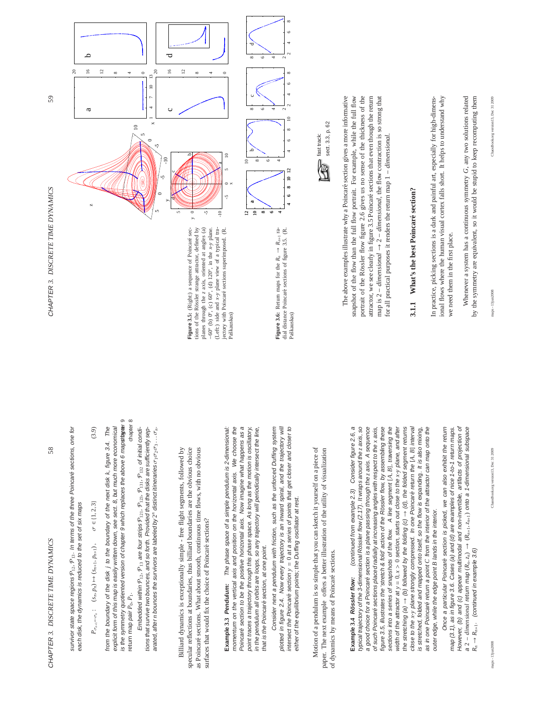58

survivor state space regions  $\mathcal{P}_{12}$ ,  $\mathcal{P}_{13}$ . In terms of the three Poincaré sections, one for  $\mathcal{P}_{12},$   $\mathcal{P}_{13}.$  In terms of the three Poincaré sections, one for each disk, the dynamics is reduced to the set of six maps each disk, the dynamics is reduced to the set of six maps survivor state space regions

$$
P_{\sigma_{n+1} - \sigma_n} : (s_n, p_n) \mapsto (s_{n+1}, p_{n+1}), \quad \sigma \in \{1, 2, 3\}
$$
\n(3.9)

is the symmetry quotiented version of chapter 9 which replaces the above 6 mapstapter 9 is the symmetry quotiented version of chapter 9 which replaces the above 6 map**stapæ**r 9 return map *pair P<sub>0</sub>*, *P<sub>1</sub>*. chapter 8 chapter 8 from the boundary of the disk j to the boundary of the next disk k, figure 3.4. The explicit form of this map is easily written down, see sect. 8, but much more economical explicit form of this map is easily written down, see sect. 8, but much more economical from the boundary of the disk *j* to the boundary of the next disk *k*, figure 3.4. The return map pair  $P_0, P_1$ .

Embedded within  $\mathcal{P}_{12}$ ,  $\mathcal{P}_{13}$  are four strips  $\mathcal{P}_{121}$ ,  $\mathcal{P}_{133}$ ,  $\mathcal{P}_{132}$  of initial conditions that survive two bounces, and so forth. Provided that the disks are sufficiently sep- $\mathcal{P}_{121}$ ,  $\mathcal{P}_{123}$ ,  $\mathcal{P}_{131}$ ,  $\mathcal{P}_{132}$  of initial conditions that survive two bounces, and so forth. Provided that the disks are sufficiently sepσ1σ2σ3 . . . σ*n*. distinct itineraries arated, after *n* bounces the survivors are labeled by 2  $P_{12}$ ,  $P_{13}$  are four strips Embedded within

Billiard dynamics is exceptionally simple - free flight segments, followed by Billiard dynamics is exceptionally simple - free flight segments, followed by specular reflections at boundaries, thus billiard boundaries are the obvious choice as Poincaré sections. What about smooth, continuous time flows, with no obvious specular reflections at boundaries, thus billiard boundaries are the obvious choice as Poincar´e sections. What about smooth, continuous time flows, with no obvious surfaces that would fix the choice of Poincaré sections? surfaces that would fix the choice of Poincaré sections?

−60 *o* (b) 0

Paškauskas)

*o*, (c) 60

*o*, (d) 120

momentum on the vertical axis and position on the horizontal axis. We choose the Poincaré section to be the positive horizontal axis. Now imagine what happens as a Poincar´e section to be the positive horizontal axis. Now imagine what happens as a point traces a trajectory through this phase space. As long as the motion is oscillatory, The phase space of a simple pendulum is 2-dimensional: **Example 3.3 Pendulum:** The phase space of a simple pendulum is 2-dimensional: momentum on the vertical axis and position on the horizontal axis. We choose the point traces a trajectory through this phase space. As long as the motion is oscillatory, in the pendulum all orbits are loops, so any trajectory will periodically intersect the line, in the pendulum all orbits are loops, so any trajectory will periodically intersect the line, that is the Poincaré section, at one point. that is the Poincaré section, at one point. Example 3.3 Pendulum:

plotted in figure 2.4. Now every trajectory is an inward spiral, and the trajectory will intersect the Poincaré section  $y = 0$  at a series of points that get closer and closer to Consider next a pendulum with friction, such as the unforced Duffing system plotted in figure 2.4. Now every trajectory is an inward spiral, and the trajectory will Consider next a pendulum with friction, such as the unforced Duffing system intersect the Poincar´e section *y* = 0 at a series of points that get closer and closer to either of the equilibrium points; the Duffing oscillator at rest. either of the equilibrium points; the Duffing oscillator at rest.

Motion of a pendulum is so simple that you can sketch it yourself on a piece of Motion of a pendulum is so simple that you can sketch it yourself on a piece of paper. The next example offers a better illustration of the utility of visualization ffers a better illustration of the utility of visualization of dynamics by means of Poincaré sections. of dynamics by means of Poincaré sections. paper. The next example o

**Example 3.4 Rössler flow:** (continued from example 2.3) Consider figure 2.6, a<br>typical trajectory of the 3-dimensional Rössler flow (2.17). It wraps around the z axis, so (continued from example 2.3) Consider figure 2.6, a **R¨ossler flow:** (continued from example 2.3) Consider figure 2.6, a a good choice for a Poincaré section is a plane passing through the z axis. A sequence figure 3.5, illustrates the 'stretch & fold' action of the Rössler flow, by assembling these sections into a series of snapshots of the flow. A line segment [A, B], traversing the dose to the x-y plane strongly compressed. In one Poincaré return the [A, B] interval of such Poincaré sections placed radially at increasing angles with respect to the x axis, width of the attractor at  $y = 0$ ,  $x > 0$  section, starts out close to the  $x - y$  plane, and after width of the attractor at *y* = 0, *x* > 0 section, starts out close to the *x*-*y* plane, and after as in one Poincaré return a point C from the interior of the attractor can map onto the typical trajectory of the 3-dimensional R¨ossler flow (2.17). It wraps around the *z* axis, so a good choice for a Poincar´e section is a plane passing through the *z* axis. A sequence of such Poincar´e sections placed radially at increasing angles with respect to the *x* axis, figure 3.5, illustrates the 'stretch & fold' action of the Rössler flow, by assembling these sections into a series of snapshots of the flow. A line segment [*A*, *B*], traversing the  $\rightarrow$  (d), the folded segment returns<br>Poincaré return the LA-RI intensi close to the *x*-*y* plane strongly compressed. In one Poincar´e return the [*A*, *B*] interval is stretched, folded and mapped onto itself, so the flow is expanding. It is also mixing, is stretched, folded and mapped onto itself, so the flow is expanding. It is also mixing, as in one Poincar´e return a point *C* from the interior of the attractor can map onto the outer edge, while the edge point B lands in the interior. outer edge, while the edge point *B* lands in the interior. ↑  $\rightarrow$  (b) followed by the folding (c)  $_{\rm{one}}$ ↑ the stretching (a)

Once a particular Poincaré section is picked, we can also exhibit the return However, (b) and (c) appear multimodal and non-invertible, artifacts of projection of a 2 – dimensional return map  $(R_n, z_n) \rightarrow (R_{n+1}, z_{n+1})$  onto a 1-dimensional subspace  $R_n \rightarrow R_{n+1}$ . (continued in example 3.6) map (3.1), as in figure 3.6. Cases (a) and (d) are examples of nice 1-to-1 return maps. However, (b) and (c) appear multimodal and non-invertible, artifacts of projection of Once a particular Poincar´e section is picked, we can also exhibit the return map (3.1), as in figure 3.6. Cases (a) and (d) are examples of nice 1-to-1 return maps. 2 − *dimensional* return map (*Rn*,*zn*) → (*Rn*+1,*zn*+1) onto a 1-dimensional subspace *Rn* → *Rn*+1. (continued in example 3.6)

ChaosBook.org version13, Dec 31 2009

maps - 13jun2008

maps - 13jun2008 ChaosBook.org version13, Dec 31 2009

59



**Figure 3.6:** Return maps for the  $R_n \to R_{n+1}$  radial distance Poincaré sections of figure 3.5. (R. **Figure 3.6:** Return maps for the *Rn* → *Rn*+1 radial distance Poincaré sections of figure 3.5. (R. Paškauskas)

 $\overline{2}$  $\overline{a}$  $6\quad 8$ 

 $\epsilon$ 

 $\sim$  $\sim$  $2^{4} 6^{8}$ 

 $\subseteq$ 

 $\sim$  $\sim$  $2^{4} 6^{8}$ 



snapshot of the flow than the full flow portrait. For example, while the full flow portrait of the Rössler flow figure 2.6 gives us no sense of the thickness of the The above examples illustrate why a Poincaré section gives a more informative attractor, we see clearly in figure 3.5 Poincaré sections that even though the return map is  $2 - dimensional \rightarrow 2 - dimensional$ , the flow contraction is so strong that The above examples illustrate why a Poincar´e section gives a more informative snapshot of the flow than the full flow portrait. For example, while the full flow portrait of the Rössler flow figure 2.6 gives us no sense of the thickness of the attractor, we see clearly in figure 3.5 Poincaré sections that even though the return → 2 – *dimensional*, the flow contraction is so strong that  $\vdots$  +  $\vdots$  +  $\vdots$  +  $\vdots$  +  $\vdots$  +  $\vdots$  +  $\vdots$  +  $\vdots$  +  $\vdots$  +  $\vdots$  +  $\vdots$  +  $\vdots$  +  $\vdots$  +  $\vdots$  +  $\vdots$  +  $\vdots$  +  $\vdots$  +  $\vdots$  +  $\vdots$  +  $\vdots$  + for all practical purposes it renders the return map 1 - dimensional. for all practical purposes it renders the return map 1 − *dimensional*. map is 2 − *dimensional*

# 3.1.1 What's the best Poincaré section? **3.1.1 What's the best Poincar´e section?**

ional flows where the human visual cortex falls short. It helps to understand why In practice, picking sections is a dark and painful art, especially for high-dimens-In practice, picking sections is a dark and painful art, especially for high-dimensional flows where the human visual cortex falls short. It helps to understand why we need them in the first place. we need them in the first place.

by the symmetry are equivalent, so it would be stupid to keep recomputing them Whenever a system has a continuous symmetry G, any two solutions related *G*, any two solutions related by the symmetry are equivalent, so it would be stupid to keep recomputing them Whenever a system has a continuous symmetry

maps - 13jun2008

ChaosBook.org version13, Dec 31 2009 maps - 13jun2008 ChaosBook.org version13, Dec 31 2009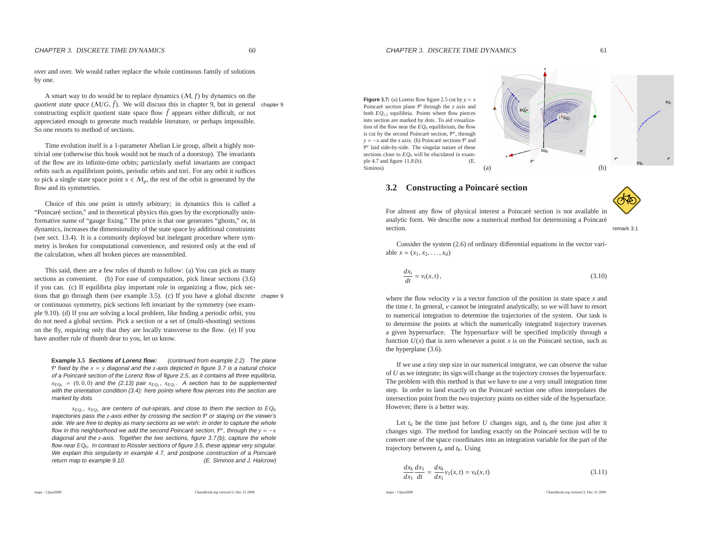over and over. We would rather replace the whole continuous family of solutionsby one.

A smart way to do would be to replace dynamics (M, *f*) by dynamics on the*quotient state space*  $(M/G, \tilde{f})$ . We will discuss this in chapter 9, but in general chapter 9 constructing explicit quotient state space flow  $\tilde{f}$  appears either difficult, or not appreciated enough to generate much readable literature, or perhaps impossible. So one resorts to method of sections.

Time evolution itself is <sup>a</sup> 1-parameter Abelian Lie group, albeit <sup>a</sup> highly nontrivial one (otherwise this book would not be much of <sup>a</sup> doorstop). The invariants of the flow are its infinite-time orbits; particularly useful invariants are compac<sup>t</sup> orbits such as equilibrium points, periodic orbits and tori. For any orbit it sufficesto pick a single state space point  $x \in M_p$ , the rest of the orbit is generated by the flow and its symmetries.

Choice of this one point is utterly arbitrary; in dynamics this is called <sup>a</sup>"Poincaré section," and in theoretical physics this goes by the exceptionally uninformative name of "gauge fixing." The price is that one generates "ghosts," or, in dynamics, increases the dimensionality of the state space by additional constraints (see sect. 13.4). It is <sup>a</sup> commonly deployed but inelegant procedure where symmetry is broken for computational convenience, and restored only at the end ofthe calculation, when all broken pieces are reassembled.

This said, there are <sup>a</sup> few rules of thumb to follow: (a) You can <sup>p</sup>ick as many sections as convenient. (b) For ease of computation, pick linear sections  $(3.6)$  if you can. (c) If equilibria play important role in organizing <sup>a</sup> flow, pick sections that go through them (see example 3.5). (c) If you have <sup>a</sup> <sup>g</sup>lobal discrete chapter <sup>9</sup> or continuous symmetry, pick sections left invariant by the symmetry (see example 9.10). (d) If you are solving <sup>a</sup> local problem, like finding <sup>a</sup> periodic orbit, you do not need <sup>a</sup> global section. Pick <sup>a</sup> section or <sup>a</sup> set of (multi-shooting) sections on the fly, requiring only that they are locally transverse to the flow. (e) If you have another rule of thumb dear to you, let us know.

**Example 3.5 Sections of Lorenz flow:** (continued from example 2.2) The plane P fixed by the *<sup>x</sup>* <sup>=</sup> *<sup>y</sup>* diagonal and the *<sup>z</sup>*-axis depicted in figure 3.7 is <sup>a</sup> natural choice of a Poincaré section of the Lorenz flow of figure 2.5, as it contains all three equilibria,  $x_{EQ_0} = (0, 0, 0)$  and the (2.13) pair  $x_{EQ_1}$ ,  $x_{EQ_2}$ . A section has to be supplemented with the orientation condition (3.4): here points where flow pierces into the section are<br>marked by data marked by dots.

 $x_{EQ_1}$ ,  $x_{EQ_2}$  are centers of out-spirals, and close to them the section to  $EQ_0$ trajectories pass the *<sup>z</sup>*-axis either by crossing the section <sup>P</sup> or staying on the viewer's side. We are free to deploy as many sections as we wish: in order to capture the wholeflow in this neighborhood we add the second Poincaré section,  $P'$ , through the  $y = -x$ diagonal and the *<sup>z</sup>*-axis. Together the two sections, figure 3.7 (b), capture the whole flow near  $EQ_0.$  In contrast to Rössler sections of figure 3.5, these appear very singular. We explain this singularity in example 4.7, and postpone construction of a Poincaré (E. Siminos and J. Halcrow) return map to example 9.10.

ChaosBook.org version13, Dec <sup>31</sup> <sup>2009</sup>

**Figure 3.7:** (a) Lorenz flow figure 2.5 cut by  $y = x$ Poincaré section plane  $P$  through the *z* axis and both *EQ*<sup>1</sup>,<sup>2</sup> equilibria. Points where flow <sup>p</sup>ierces into section are marked by dots. To aid visualization of the flow near the *EQ*<sup>0</sup> equilibrium, the flowis cut by the second Poincaré section,  $P'$ , through *y* = −*x* and the *z* axis. (b) Poincaré sections  $\mathcal{P}$  and  $\mathcal{P}'$  laid side-by-side. The singular nature of these sections close to *EQ*<sup>0</sup> will be elucidated in example 4.7 and figure 11.8 (b). (E. Siminos) $(a)$ 



### **3.2 Constructing <sup>a</sup> Poincare section ´**



For almost any flow of physical interest a Poincaré section is not available in analytic form. We describe now a numerical method for determining a Poincaré section.remark 3.1

Consider the system (2.6) of ordinary differential equations in the vector variable  $x = (x_1, x_2, \dots, x_d)$ 

$$
\frac{dx_i}{dt} = v_i(x, t),\tag{3.10}
$$

where the flow velocity  $v$  is a vector function of the position in state space  $x$  and the time *<sup>t</sup>*. In general, *<sup>v</sup>* cannot be integrated analytically, so we will have to resort to numerical integration to determine the trajectories of the system. Our task is to determine the points at which the numerically integrated trajectory traverses <sup>a</sup> given hypersurface. The hypersurface will be specified implicitly through <sup>a</sup>function  $U(x)$  that is zero whenever a point *x* is on the Poincaré section, such as the hyperplane (3.6).

If we use <sup>a</sup> tiny step size in our numerical integrator, we can observe the value of *<sup>U</sup>* as we integrate; its sign will change as the trajectory crosses the hypersurface. The problem with this method is that we have to use <sup>a</sup> very small integration timestep. In order to land exactly on the Poincaré section one often interpolates the intersection point from the two trajectory points on either side of the hypersurface. However, there is <sup>a</sup> better way.

Let  $t_a$  be the time just before *U* changes sign, and  $t_b$  the time just after it changes sign. The method for landing exactly on the Poincaré section will be to convert one of the space coordinates into an integration variable for the part of thetrajectory between *<sup>t</sup><sup>a</sup>* and *<sup>t</sup>b*. Using

$$
\frac{dx_k}{dx_1}\frac{dx_1}{dt} = \frac{dx_k}{dx_1}v_1(x,t) = v_k(x,t)
$$
\n(3.11)

maps - 13jun2008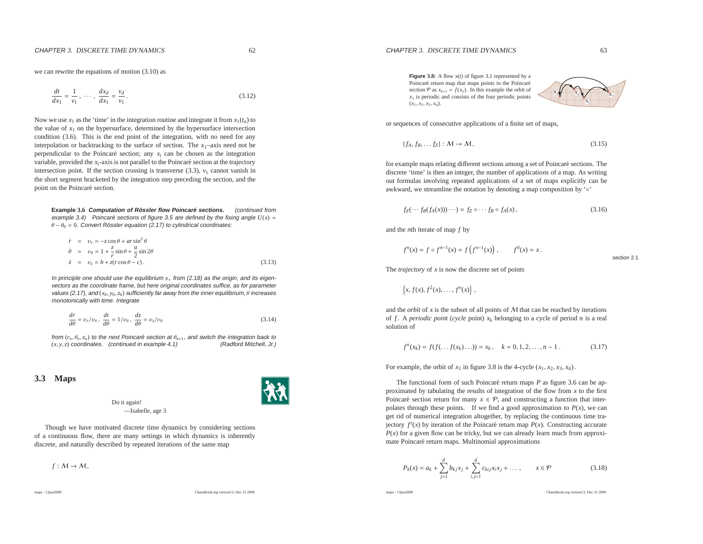we can rewrite the equations of motion (3.10) as

$$
\frac{dt}{dx_1} = \frac{1}{v_1}, \ \cdots, \ \frac{dx_d}{dx_1} = \frac{v_d}{v_1}.
$$
\n(3.12)

Now we use  $x_1$  as the 'time' in the integration routine and integrate it from  $x_1(t_a)$  to the value of  $x_1$  on the hypersurface, determined by the hypersurface intersection condition (3.6). This is the end point of the integration, with no need for any interpolation or backtracking to the surface of section. The *<sup>x</sup>*1–axis need not be perpendicular to the Poincaré section; any  $x_i$  can be chosen as the integration variable, provided the  $x_i$ -axis is not parallel to the Poincaré section at the trajectory intersection point. If the section crossing is transverse  $(3.3)$ ,  $v_1$  cannot vanish in the short segmen<sup>t</sup> bracketed by the integration step preceding the section, and thepoint on the Poincaré section.

**Example 3.6 Computation of Rossler flow Poincar ¨ <sup>e</sup> sections. ´** (continued fromexample 3.4) Poincaré sections of figure 3.5 are defined by the fixing angle  $U(x)$  =  $\theta - \theta_0 = 0$ . Convert Rössler equation (2.17) to cylindrical coordinates:

$$
\dot{r} = v_r = -z\cos\theta + ar\sin^2\theta
$$
\n
$$
\dot{\theta} = v_\theta = 1 + \frac{z}{r}\sin\theta + \frac{a}{2}\sin 2\theta
$$
\n
$$
\dot{z} = v_z = b + z(r\cos\theta - c).
$$
\n(3.13)

In principle one should use the equilibrium *<sup>x</sup>*<sup>+</sup> from (2.18) as the origin, and its eigenvectors as the coordinate frame, but here original coordinates suffice, as for parametervalues (2.17), and  $(x_0, y_0, z_0)$  sufficiently far away from the inner equilibrium,  $\theta$  increases monotonically with time. Integrate

$$
\frac{dr}{d\theta} = v_r/v_\theta, \quad \frac{dt}{d\theta} = 1/v_\theta, \quad \frac{dz}{d\theta} = v_z/v_\theta \tag{3.14}
$$

from  $(r_n, \theta_n, z_n)$  to the next Poincaré section at  $\theta_{n+1}$ , and switch the integration back to  $(r_n, z_n)$  coordinates continued in example 4.1) (*<sup>x</sup>*, *<sup>y</sup>*,*<sup>z</sup>*) coordinates. (continued in example 4.1) (Radford Mitchell, Jr.)

#### **3.3 Maps**

Do it again!—Isabelle, age 3

Though we have motivated discrete time dynamics by considering sections of <sup>a</sup> continuous flow, there are many settings in which dynamics is inherentlydiscrete, and naturally described by repeated iterations of the same map

 $f: M \to M$ ,

maps - 13jun2008

ChaosBook.org version13, Dec <sup>31</sup> <sup>2009</sup>

section 2.1

the contract of the contract of the contract of the contract of the contract of the contract of the contract of and the contract of the contract of the contract of the contract of the contract of the contract of the contract of the contract of the contract of the contract of the contract of the contract of the contract of the contra and the contract of the contract of the contract of the contract of the contract of the contract of the contract of the contract of the contract of the contract of the contract of the contract of the contract of the contra and the contract of the contract of the contract of the contract of the contract of the contract of the contract of **A CONFIDENTIAL CONFIDENTIAL CONFIDENCIAL CONFIDENTIAL CONFIDENTIAL CONFIDENTIAL CONFIDENTIAL CONFIDENTIAL CONFIDENTIAL CONFIDENTIAL CONFIDENTIAL CONFIDENTIAL CONFIDENTIAL CONFIDENTIAL CONFIDENTIAL CONFIDENTIAL CONFIDENTIA Processes and the contract of the contract of the contract of the contract of the contract of the contract of the contract of the contract of the contract of the contract of the contract of the contract of the contract of** se establecen el control de la control de la control de la control de la control de la control de la control d **No considered and considered and considered and considered**  $\lambda$  and  $\lambda$  and  $\lambda$  and  $\lambda$  and  $\lambda$  and  $\lambda$  and  $\lambda$  and  $\lambda$  and  $\lambda$  and  $\lambda$  and  $\lambda$  and  $\lambda$ such as a series of the series of the series of the series of the series of the series of the series of the series of the series of the series of the series of the series of the series of the series of the series of the se <u>in the second contract of the second contract of the second contract of the second contract of the second contract of the second contract of the second contract of the second contract of the second contract of the second </u>  $\sim$   $\sim$   $\sim$   $\sim$   $\sim$   $\sim$  $x_3$ х, x,

**Figure 3.8:** <sup>A</sup> flow *<sup>x</sup>*(*t*) of figure 3.1 represented by <sup>a</sup> Poincaré return map that maps points in the Poincaré section  $P$  as  $x_{n+1} = f(x_n)$ . In this example the orbit of *x*1 is periodic and consists of the four periodic points (*<sup>x</sup>*1, *<sup>x</sup>*2, *<sup>x</sup>*3, *<sup>x</sup>*4).

or sequences of consecutive applications of <sup>a</sup> finite set of maps,

$$
\{f_A, f_B, \dots f_Z\} : \mathcal{M} \to \mathcal{M},\tag{3.15}
$$

for example maps relating different sections among a set of Poincaré sections. The discrete 'time' is then an integer, the number of applications of <sup>a</sup> map. As writing out formulas involving repeated applications of <sup>a</sup> set of maps explicitly can beawkward, we streamline the notation by denoting <sup>a</sup> map composition by '◦'

$$
f_Z(\cdots f_B(f_A(x)))\cdots) = f_Z \circ \cdots f_B \circ f_A(x), \qquad (3.16)
$$

and the *<sup>n</sup>*th iterate of map *f* by

$$
f^{n}(x) = f \circ f^{n-1}(x) = f(f^{n-1}(x)), \qquad f^{0}(x) = x.
$$

The *trajectory* of *<sup>x</sup>* is now the discrete set of points

$$
\left\{x, f(x), f^2(x), \ldots, f^n(x)\right\},\
$$

and the *orbit* of *x* is the subset of all points of *M* that can be reached by iterations<br>of  $f$ . A *periodic point (cycle* point)  $x$ , belonging to a cycle of period *n* is a real of *f*. A *periodic point* (*cycle* point)  $x_k$  belonging to a cycle of period *n* is a real solution of

$$
f^{n}(x_{k}) = f(f(\ldots f(x_{k})\ldots)) = x_{k}, \quad k = 0, 1, 2, \ldots, n - 1.
$$
 (3.17)

For example, the orbit of  $x_1$  in figure 3.8 is the 4-cycle  $(x_1, x_2, x_3, x_4)$ .

The functional form of such Poincaré return maps  $P$  as figure 3.6 can be approximated by tabulating the results of integration of the flow from *<sup>x</sup>* to the first Poincaré section return for many  $x \in \mathcal{P}$ , and constructing a function that interpolates through these points. If we find a good approximation to  $P(x)$ , we can ge<sup>t</sup> rid of numerical integration altogether, by replacing the continuous time trajectory  $f^t(x)$  by iteration of the Poincaré return map  $P(x)$ . Constructing accurate  $P(x)$  for a given flow can be tricky, but we can already learn much from approximate Poincaré return maps. Multinomial approximations

$$
P_k(x) = a_k + \sum_{j=1}^d b_{kj}x_j + \sum_{i,j=1}^d c_{kij}x_ix_j + \dots, \qquad x \in \mathcal{P}
$$
 (3.18)

maps - 13jun2008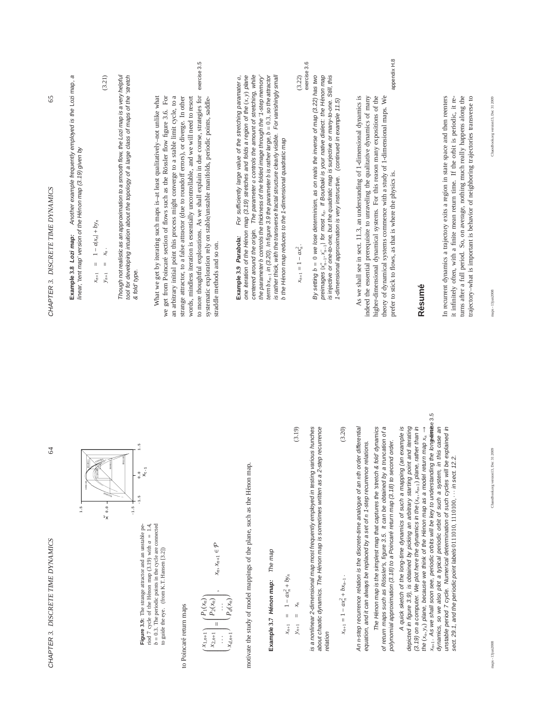| J                      |  |
|------------------------|--|
| 1                      |  |
|                        |  |
|                        |  |
|                        |  |
|                        |  |
|                        |  |
|                        |  |
|                        |  |
|                        |  |
|                        |  |
|                        |  |
|                        |  |
|                        |  |
|                        |  |
|                        |  |
|                        |  |
|                        |  |
|                        |  |
|                        |  |
|                        |  |
| l                      |  |
| l                      |  |
|                        |  |
|                        |  |
| てんしょ こうこうしょう しょうしょうしょう |  |
|                        |  |
|                        |  |
|                        |  |
|                        |  |
|                        |  |
| í                      |  |
|                        |  |
| ij                     |  |
|                        |  |
| í                      |  |
| )                      |  |
| $\frac{1}{2}$          |  |
| ij                     |  |
|                        |  |
| ١                      |  |
| $\ddot{\phantom{0}}$   |  |
|                        |  |
|                        |  |
|                        |  |
|                        |  |
|                        |  |
|                        |  |
|                        |  |
|                        |  |

64



riod 7 cycle of the Henon map (3.19) with  $a = 1.4$ ,<br> $b = 0.3$ . The periodic points in the cycle are connected Figure 3.9: The strange attractor and an unstable pe-**Figure 3.9:** The strange attractor and an unstable period 7 cycle of the Hénon map  $(3.19)$  with  $a = 1.4$ ,  $b = 0.3$ . The periodic points in the cycle are connected to guide the eye. (from K.T. Hansen [3.2]) to guide the eye. (from K.T. Hansen [3.2])

# to Poincaré return maps to Poincaré return maps

$$
\begin{pmatrix}\nX_{1,n+1} \\
X_{2,n+1} \\
 \vdots \\
X_{d,n+1}\n\end{pmatrix} =\n\begin{pmatrix}\nP_1(x_n) \\
P_2(x_n) \\
 \vdots \\
P_d(x_n)\n\end{pmatrix}, \quad x_n, x_{n+1} \in \mathcal{P}
$$

motivate the study of model mappings of the plane, such as the Hénon map. motivate the study of model mappings of the plane, such as the Hénon map.

# The map **Example 3.7 H´enon map:** The map Example 3.7 Hénon map:

 $\overline{c}$ 

$$
x_{n+1} = 1 - ax_n^2 + b y_n
$$
  
\n
$$
y_{n+1} = x_n
$$
 (3.19)

is a nonlinear 2-dimensional map most frequently employed in testing various hunches is a nonlinear 2-dimensional map most frequently employed in testing various hunches about chaotic dynamics. The Hénon map is sometimes written as a 2-step recurrence about chaotic dynamics. The Hénon map is sometimes written as a 2-step recurrence relation

$$
x_{n+1} = 1 - a x_n^2 + b x_{n-1}.
$$
\n(3.20)

An n-step recurrence relation is the discrete-time analogue of an nth order differential An *n*-step recurrence relation is the discrete-time analogue of an *n*th order differential equation, and it can always be replaced by a set of n 1-step recurrence relations. equation, and it can always be replaced by a set of *n* 1-step recurrence relations. The Hénon map is the simplest map that captures the 'stretch & fold' dynamics of return maps such as Rössler's, figure 3.5. It can be obtained by a truncation of a of return maps such as R¨ossler's, figure 3.5. It can be obtained by a truncation of a The Hénon map is the simplest map that captures the 'stretch & fold' dynamics polynomial approximation (3.18) to a Poincaré return map (3.18) to second order. polynomial approximation (3.18) to a Poincaré return map (3.18) to second order.

x<sub>n+1</sub>. As we shall soon see, periodic orbits will be key to understanding the long it and the s.5 *xn*+1. As we shall soon see, periodic orbits will be key to understanding the long-time exercise 3.5 A quick sketch of the long-time dynamics of such a mapping (an example is depicted in figure 3.9), is obtained by picking an arbitrary starting point and iterating (3.19) on a computer. We plot here the dynamics in the  $(x_n, x_{n+1})$  plane, rather than in the  $(x_n, y_n)$  plane, because we think of the Hénon map as a model return map  $x_n \rightarrow$ dynamics, so we also plot a typical periodic orbit of such a system, in this case an unstable period 7 cycle. Numerical determination of such cycles will be explained in A quick sketch of the long-time dynamics of such a mapping (an example is depicted in figure 3.9), is obtained by picking an arbitrary starting point and iterating (3.19) on a computer. We plot here the dynamics in the (*xn*, *xn*+1) plane, rather than in the (*xn*, *yn*) plane, because we think of the H´enon map as a model return map *xn* → dynamics, so we also plot a typical periodic orbit of such a system, in this case an unstable period 7 cycle. Numerical determination of such cycles will be explained in sect. 29.1, and the periodic point labels 0111010, 1110100, ... in sect. 12.2. sect. 29.1, and the periodic point labels 0111010, 1110100, · · · in sect. 12.2.

ChaosBook.org version13, Dec 31 2009 maps - 13jun2008 ChaosBook.org version13, Dec 31 2009

65

Another example frequently employed is the Lozi map, a **Example 3.8 Lozi map:** Another example frequently employed is the Lozi map, a linear, 'tent map' version of the Hénon map (3.19) given by linear, 'tent map' version of the H´enon map (3.19) given by Example 3.8 Lozi map:

$$
x_{n+1} = 1 - a|x_n| + b y_n
$$
  
\n
$$
y_{n+1} = x_n.
$$
 (3.21)

Though not realistic as an approximation to a smooth flow, the Lozi map is a very helpful tool for developing intuition about the topology of a large class of maps of the 'stretch Though not realistic as an approximation to a smooth flow, the Lozi map is a very helpful tool for developing intuition about the topology of a large class of maps of the 'stretch & fold' type. & fold' type.

exercise 3.5 to more thoughtful explorations. As we shall explain in due course, strategies for exercise 3.5 an arbitrary initial point this process might converge to a stable limit cycle, to a to more thoughtful explorations. As we shall explain in due course, strategies for an arbitrary initial point this process might converge to a stable limit cycle, to a What we get by iterating such maps is-at least qualitatively-not unlike what What we get by iterating such maps is–at least qualitatively–not unlike what we get from Poincaré section of flows such as the Rössler flow figure 3.6. For we get from Poincaré section of flows such as the Rössler flow figure 3.6. For strange attractor, to a false attractor (due to roundoff errors), or diverge. In other words, mindless iteration is essentially uncontrollable, and we will need to resort systematic exploration rely on stable/unstable manifolds, periodic points, saddlestrange attractor, to a false attractor (due to roundoff errors), or diverge. In other words, mindless iteration is essentially uncontrollable, and we will need to resort systematic exploration rely on stable/unstable manifolds, periodic points, saddlestraddle methods and so on. straddle methods and so on.

one iteration of the Hénon map (3.19) stretches and folds a region of the  $(x, y)$  plane<br>centered around the origin. The parameter  $a$  controls the amount of stretching, while For sufficiently large value of the stretching paramater a, term  $bx_{n-1}$  in (3.20). In figure 3.9 the parameter  $b$  is rather large,  $b = 0.3$ , so the attractor is rather thick, with the transverse fractal structure clearly visible. For vanishingly small **Example 3.9 Parabola:** For sufficiently large value of the stretching paramater *a*, one iteration of the H´enon map (3.19) stretches and folds a region of the (*x*, *y*) plane centered around the origin. The parameter *a* controls the amount of stretching, while the parameter b controls the thickness of the folded image through the '1-step memory' the parameter *b* controls the thickness of the folded image through the '1-step memory' term *bxn*−1 in (3.20). In figure 3.9 the parameter *b* is rather large, *b* = 0.3, so the attractor is rather thick, with the transverse fractal structure clearly visible. For vanishingly small **b** the Hénon map reduces to the 1-dimensional quadratic map the H´enon map reduces to the 1-dimensional quadratic map Example 3.9 Parabola:

$$
x_{n+1} = 1 - ax_n^2.
$$
\n(3.22)

By setting  $b = 0$  we lose determinism, as on reals the inverse of map (3.22) has two<br> preimages  $(x_{n-1}^*,x_{n-1}^-)$  for most  $x_n$ . If Bourbaki is your native dialect: the Hénon map is injective or many-to-one. Still, this By setting *b* = 0 we lose determinism, as on reals the inverse of map (3.22) has two preimages {*x*+*n*−1, *x*−*n*−1} for most *xn*. If Bourbaki is your native dialect: the H´enon map is injective or one-to-one, but the quadratic map is surjective or many-to-one. Still, this 1-dimensional approximation is very instructive. (continued in example 11.5) 1-dimensional approximation is very instructive. (continued in example 11.5)

appendix H.8 prefer to stick to flows, as that is where the physics is. appendix H.8 As we shall see in sect. 11.3, an understanding of 1-dimensional dynamics is higher-dimensional dynamical systems. For this reason many expositions of the theory of dynamical systems commence with a study of 1-dimensional maps. We As we shall see in sect. 11.3, an understanding of 1-dimensional dynamics is indeed the essential prerequisite to unraveling the qualitative dynamics of many indeed the essential prerequisite to unraveling the qualitative dynamics of many higher-dimensional dynamical systems. For this reason many expositions of the theory of dynamical systems commence with a study of 1-dimensional maps. We prefer to stick to flows, as that is where the physics is.

# **R´esum´e**

it infinitely often, with a finite mean return time. If the orbit is periodic, it retrajectory-what is important is behavior of neighboring trajectories transverse to In recurrent dynamics a trajectory exits a region in state space and then reenters turns after a full period. So, on average, nothing much really happens along the In recurrent dynamics a trajectory exits a region in state space and then reenters it infinitely often, with a finite mean return time. If the orbit is periodic, it returns after a full period. So, on average, nothing much really happens along the trajectory–what is important is behavior of neighboring trajectories transverse to

ChaosBook.org version13, Dec 31 2009

maps - 13jun2008 ChaosBook.org version13, Dec 31 2009

maps - 13jun2008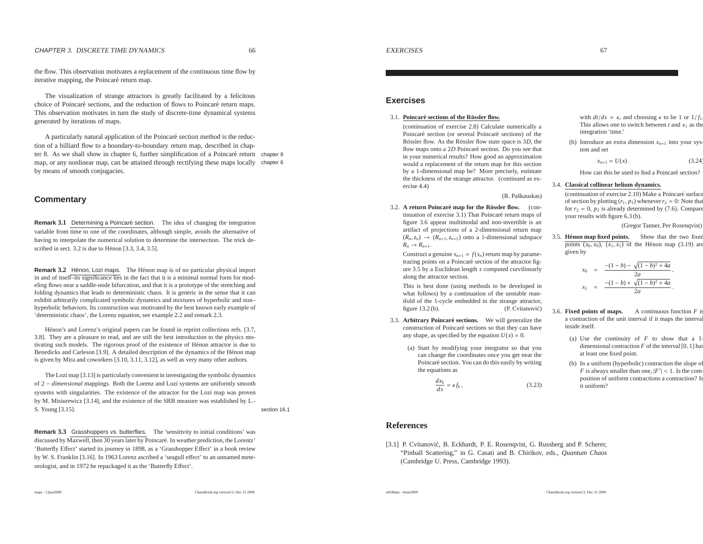the flow. This observation motivates <sup>a</sup> replacement of the continuous time flow byiterative mapping, the Poincaré return map.

The visualization of strange attractors is greatly facilitated by <sup>a</sup> felicitouschoice of Poincaré sections, and the reduction of flows to Poincaré return maps. This observation motivates in turn the study of discrete-time dynamical systemsgenerated by iterations of maps.

A particularly natural application of the Poincaré section method is the reduction of <sup>a</sup> billiard flow to <sup>a</sup> boundary-to-boundary return map, described in chapter 8. As we shall show in chapter 6, further simplification of a Poincaré return chapter 8 map, or any nonlinear map, can be attained through rectifying these maps locally chapter <sup>6</sup> by means of smooth conjugacies.

#### **Commentary**

**Remark 3.1** Determining a Poincaré section. The idea of changing the integration variable from time to one of the coordinates, although simple, avoids the alternative of having to interpolate the numerical solution to determine the intersection. The trick described in sect.  $3.2$  is due to Hénon  $[3.3, 3.4, 3.5]$ .

**Remark 3.2** Hénon, Lozi maps. The Hénon map is of no particular physical import in and of itself–its significance lies in the fact that it is <sup>a</sup> minimal normal form for modeling flows near <sup>a</sup> saddle-node bifurcation, and that it is <sup>a</sup> prototype of the stretching and folding dynamics that leads to deterministic chaos. It is generic in the sense that it can exhibit arbitrarily complicated symbolic dynamics and mixtures of hyperbolic and non– hyperbolic behaviors. Its construction was motivated by the best known early example of'deterministic chaos', the Lorenz equation, see example 2.2 and remark 2.3.

Hénon's and Lorenz's original papers can be found in reprint collections refs. [3.7, 3.8]. They are <sup>a</sup> pleasure to read, and are still the best introduction to the physics motivating such models. The rigorous proof of the existence of Hénon attractor is due to Benedicks and Carleson [3.9]. A detailed description of the dynamics of the Hénon map is given by Mira and coworkers [3.10, 3.11, 3.12], as well as very many other authors.

The Lozi map [3.13] is particularly convenient in investigating the symbolic dynamics of 2 <sup>−</sup> *dimensional* mappings. Both the Lorenz and Lozi systems are uniformly smooth systems with singularities. The existence of the attractor for the Lozi map was proven by M. Misiurewicz [3.14], and the existence of the SRB measure was established by L.-S. Young [3.15]. section 16.1

**Remark 3.3** Grasshoppers vs. butterflies. The 'sensitivity to initial conditions' was discussed by Maxwell, then 30 years later by Poincaré. In weather prediction, the Lorentz' 'Butterfly Effect' started its journey in 1898, as <sup>a</sup> 'Grasshopper Effect' in <sup>a</sup> book review by W. S. Franklin [3.16]. In 1963 Lorenz ascribed <sup>a</sup> 'seagull <sup>e</sup>ffect' to an unnamed meteorologist, and in 1972 he repackaged it as the 'Butterfly Effect'.

### **Exercises**

#### 3.1. **Poincare sections of the R ´ ossler flow. ¨**

(continuation of exercise 2.8) Calculate numerically <sup>a</sup>Poincaré section (or several Poincaré sections) of the Rössler flow. As the Rössler flow state space is 3*D*, the flow maps onto a 2*D* Poincaré section. Do you see that in your numerical results? How good an approximation would <sup>a</sup> replacement of the return map for this section by <sup>a</sup> 1-dimensional map be? More precisely, estimate the thickness of the strange attractor. (continued as exercise 4.4)

(R. Paškauskas)

3.2. **A return Poincare map for the R ´ ossler flow. ¨** (continuation of exercise 3.1) That Poincaré return maps of figure 3.6 appear multimodal and non-invertible is an artifact of projections of <sup>a</sup> 2-dimensional return map $(R_n, z_n) \rightarrow (R_{n+1}, z_{n+1})$  onto a 1-dimensional subspace  $R_n \to R_{n+1}$ .

Construct a genuine  $s_{n+1} = f(s_n)$  return map by parametrazing points on a Poincaré section of the attractor figure 3.5 by <sup>a</sup> Euclidean length *<sup>s</sup>* computed curvilinearly along the attractor section.

This is best done (using methods to be developed in what follows) by <sup>a</sup> continuation of the unstable manifold of the 1-cycle embedded in the strange attractor, figure  $13.2$  (b). (P. Cvitanović)

- 3.3. **Arbitrary Poincare sections. ´** We will generalize theconstruction of Poincaré sections so that they can have any shape, as specified by the equation  $U(x) = 0$ .
	- (a) Start by modifying your integrator so that you can change the coordinates once you ge<sup>t</sup> near thePoincaré section. You can do this easily by writing the equations as

$$
\frac{dx_k}{ds} = \kappa f_k \,,\tag{3.23}
$$

#### with  $dt/ds = \kappa$ , and choosing  $\kappa$  to be 1 or  $1/f_1$ . This allows one to switch between  $t$  and  $x_1$  as the integration 'time.'

(b) Introduce an extra dimension  $x_{n+1}$  into your system and set

 $x_{n+1} = U(x)$ . (3.24)

How can this be used to find a Poincaré section?

#### 3.4. **Classical collinear helium dynamics.**

(continuation of exercise 2.10) Make a Poincaré surface of section by plotting  $(r_1, p_1)$  whenever  $r_2 = 0$ : Note that for  $r_2 = 0$ ,  $p_2$  is already determined by (7.6). Compare your results with figure 6.3 (b).

(Gregor Tanner, Per Rosenqvist)

3.5. **Henon map fixed points. ´** Show that the two fixedpoints  $(x_0, x_0)$ ,  $(x_1, x_1)$  of the Hénon map (3.19) are given by

$$
x_0 = \frac{-(1-b) - \sqrt{(1-b)^2 + 4a}}{2a},
$$
  

$$
x_1 = \frac{-(1-b) + \sqrt{(1-b)^2 + 4a}}{2a}.
$$

- 3.6. **Fixed points of maps.** A continuous function  $F$  is <sup>a</sup> contraction of the unit interval if it maps the intervalinside itself.
	- (a) Use the continuity of *<sup>F</sup>* to show that <sup>a</sup> 1 dimensional contraction  $F$  of the interval  $[0, 1]$  has at least one fixed point.
	- (b) In <sup>a</sup> uniform (hyperbolic) contraction the slope of*F* is always smaller than one,  $|F'| < 1$ . Is the composition of uniform contractions <sup>a</sup> contraction? Isit uniform?

#### **References**

refsMaps - 6mar2009

[3.1] P. Cvitanović, B. Eckhardt, P. E. Rosenqvist, G. Russberg and P. Scherer, "Pinball Scattering," in G. Casati and B. Chirikov, eds., *Quantum Chaos*(Cambridge U. Press, Cambridge 1993).